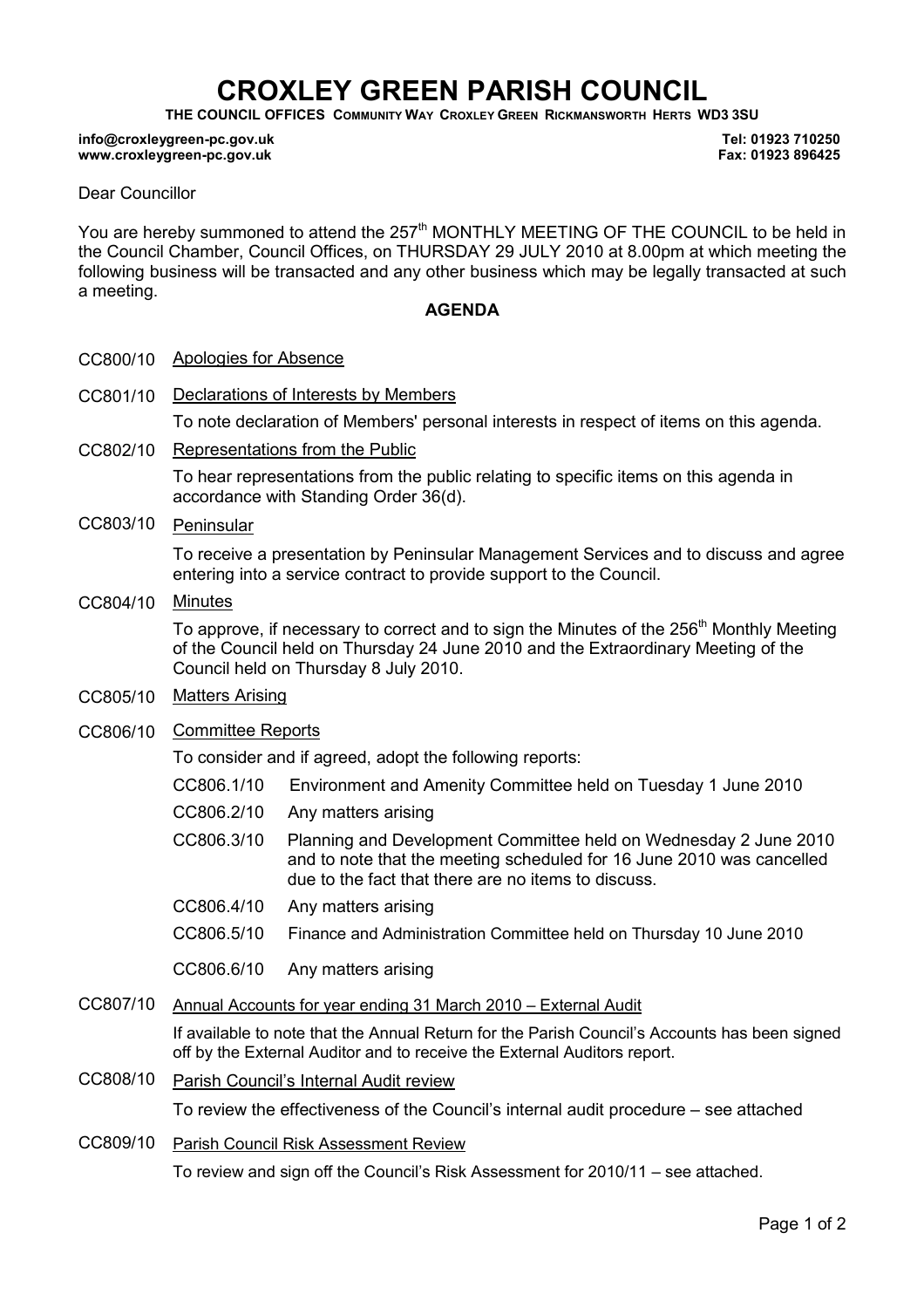# CROXLEY GREEN PARISH COUNCIL

THE COUNCIL OFFICES COMMUNITY WAY CROXLEY GREEN RICKMANSWORTH HERTS WD3 3SU

#### info@croxleygreen-pc.gov.uk www.croxleygreen-pc.gov.uk

Tel: 01923 710250 Fax: 01923 896425

### Dear Councillor

You are hereby summoned to attend the 257<sup>th</sup> MONTHLY MEETING OF THE COUNCIL to be held in the Council Chamber, Council Offices, on THURSDAY 29 JULY 2010 at 8.00pm at which meeting the following business will be transacted and any other business which may be legally transacted at such a meeting.

### AGENDA

- CC800/10 Apologies for Absence
- CC801/10 Declarations of Interests by Members To note declaration of Members' personal interests in respect of items on this agenda.
- CC802/10 Representations from the Public

To hear representations from the public relating to specific items on this agenda in accordance with Standing Order 36(d).

CC803/10 Peninsular

To receive a presentation by Peninsular Management Services and to discuss and agree entering into a service contract to provide support to the Council.

CC804/10 Minutes

To approve, if necessary to correct and to sign the Minutes of the 256<sup>th</sup> Monthly Meeting of the Council held on Thursday 24 June 2010 and the Extraordinary Meeting of the Council held on Thursday 8 July 2010.

- CC805/10 Matters Arising
- CC806/10 Committee Reports

To consider and if agreed, adopt the following reports:

- CC806.1/10 Environment and Amenity Committee held on Tuesday 1 June 2010
- CC806.2/10 Any matters arising
- CC806.3/10 Planning and Development Committee held on Wednesday 2 June 2010 and to note that the meeting scheduled for 16 June 2010 was cancelled due to the fact that there are no items to discuss.
- CC806.4/10 Any matters arising
- CC806.5/10 Finance and Administration Committee held on Thursday 10 June 2010

CC806.6/10 Any matters arising

## CC807/10 Annual Accounts for year ending 31 March 2010 – External Audit

If available to note that the Annual Return for the Parish Council's Accounts has been signed off by the External Auditor and to receive the External Auditors report.

# CC808/10 Parish Council's Internal Audit review

To review the effectiveness of the Council's internal audit procedure – see attached

CC809/10 Parish Council Risk Assessment Review

To review and sign off the Council's Risk Assessment for 2010/11 – see attached.